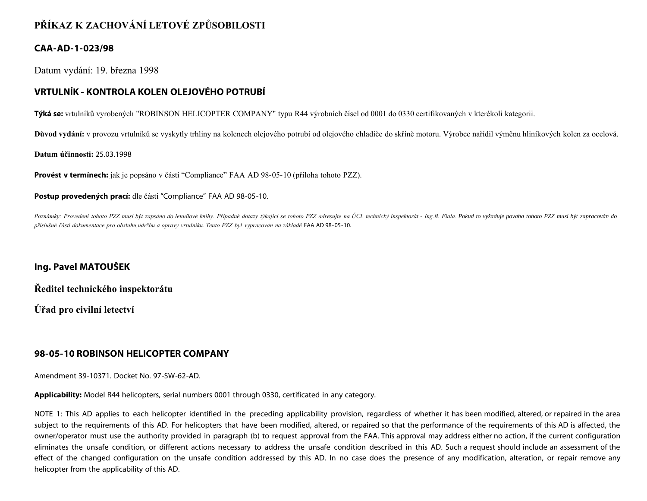# **PŘÍKAZ K ZACHOVÁNÍ LETOVÉ ZPŮSOBILOSTI**

### **CAA-AD-1-023/98**

Datum vydání: 19. března 1998

# **VRTULNÍK - KONTROLA KOLEN OLEJOVÉHO POTRUBÍ**

**Týká se:** vrtulníků vyrobených "ROBINSON HELICOPTER COMPANY" typu R44 výrobních čísel od 0001 do 0330 certifikovaných v kterékoli kategorii.

Důvod vydání: v provozu vrtulníků se vyskytly trhliny na kolenech olejového potrubí od olejového chladiče do skříně motoru. Výrobce nařídil výměnu hliníkových kolen za ocelová.

#### **Datum účinnosti:** 25.03.1998

**Provést v termínech:** jak je popsáno v části "Compliance" FAA AD 98-05-10 (příloha tohoto PZZ).

#### **Postup provedených prací:** dle části "Compliance" FAA AD 98-05-10.

Poznámky: Provedení tohoto PZZ musí být zapsáno do letadlové knihy. Případné dotazy týkající se tohoto PZZ adresujte na ÚCL technický inspektorát - Ing.B. Fiala. Pokud to vyžaduje povaha tohoto PZZ musí být zapracován do *příslušné části dokumentace pro obsluhu,údržbu a opravy vrtulníku. Tento PZZ byl vypracován na základě* FAA AD 98-05-10.

### **Ing. Pavel MATOUŠEK**

**Ředitel technického inspektorátu**

**Úřad pro civilní letectví**

## **98-05-10 ROBINSON HELICOPTER COMPANY**

Amendment 39-10371. Docket No. 97-SW-62-AD.

**Applicability:** Model R44 helicopters, serial numbers 0001 through 0330, certificated in any category.

NOTE 1: This AD applies to each helicopter identified in the preceding applicability provision, regardless of whether it has been modified, altered, or repaired in the area subject to the requirements of this AD. For helicopters that have been modified, altered, or repaired so that the performance of the requirements of this AD is affected, the owner/operator must use the authority provided in paragraph (b) to request approval from the FAA. This approval may address either no action, if the current configuration eliminates the unsafe condition, or different actions necessary to address the unsafe condition described in this AD. Such a request should include an assessment of the effect of the changed configuration on the unsafe condition addressed by this AD. In no case does the presence of any modification, alteration, or repair remove any helicopter from the applicability of this AD.